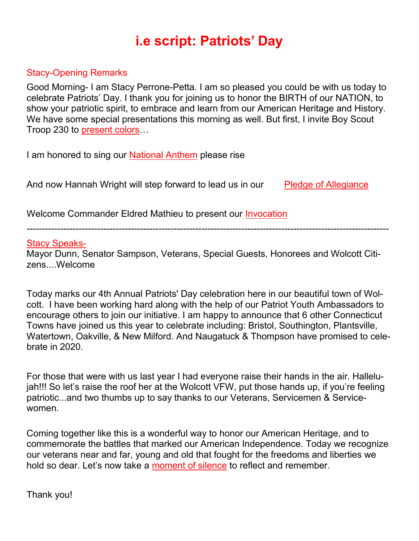## **i.e script: Patriots' Day**

### Stacy-Opening Remarks

Good Morning- I am Stacy Perrone-Petta. I am so pleased you could be with us today to celebrate Patriots' Day. I thank you for joining us to honor the BIRTH of our NATION, to show your patriotic spirit, to embrace and learn from our American Heritage and History. We have some special presentations this morning as well. But first, I invite Boy Scout Troop 230 to present colors…

I am honored to sing our **National Anthem** please rise

And now Hannah Wright will step forward to lead us in our Pledge of Allegiance

Welcome Commander Eldred Mathieu to present our Invocation

----------------------------------------------------------------------------------------------------------------------

#### Stacy Speaks-

Mayor Dunn, Senator Sampson, Veterans, Special Guests, Honorees and Wolcott Citizens....Welcome

Today marks our 4th Annual Patriots' Day celebration here in our beautiful town of Wolcott. I have been working hard along with the help of our Patriot Youth Ambassadors to encourage others to join our initiative. I am happy to announce that 6 other Connecticut Towns have joined us this year to celebrate including: Bristol, Southington, Plantsville, Watertown, Oakville, & New Milford. And Naugatuck & Thompson have promised to celebrate in 2020.

For those that were with us last year I had everyone raise their hands in the air. Hallelujah!!! So let's raise the roof her at the Wolcott VFW, put those hands up, if you're feeling patriotic...and two thumbs up to say thanks to our Veterans, Servicemen & Servicewomen.

Coming together like this is a wonderful way to honor our American Heritage, and to commemorate the battles that marked our American Independence. Today we recognize our veterans near and far, young and old that fought for the freedoms and liberties we hold so dear. Let's now take a moment of silence to reflect and remember.

Thank you!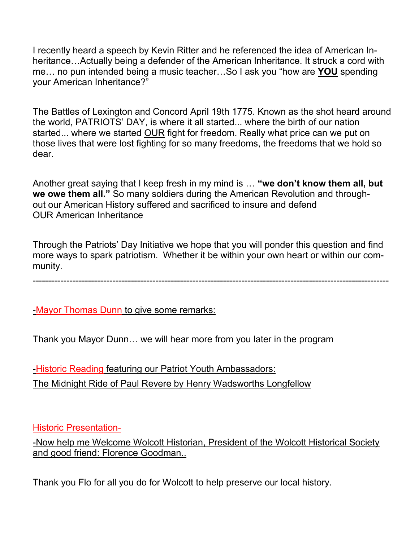I recently heard a speech by Kevin Ritter and he referenced the idea of American Inheritance…Actually being a defender of the American Inheritance. It struck a cord with me… no pun intended being a music teacher…So I ask you "how are **YOU** spending your American Inheritance?"

The Battles of Lexington and Concord April 19th 1775. Known as the shot heard around the world, PATRIOTS' DAY, is where it all started... where the birth of our nation started... where we started OUR fight for freedom. Really what price can we put on those lives that were lost fighting for so many freedoms, the freedoms that we hold so dear.

Another great saying that I keep fresh in my mind is … **"we don't know them all, but we owe them all."** So many soldiers during the American Revolution and throughout our American History suffered and sacrificed to insure and defend OUR American Inheritance

Through the Patriots' Day Initiative we hope that you will ponder this question and find more ways to spark patriotism. Whether it be within your own heart or within our community.

--------------------------------------------------------------------------------------------------------------------

-Mayor Thomas Dunn to give some remarks:

Thank you Mayor Dunn… we will hear more from you later in the program

-Historic Reading featuring our Patriot Youth Ambassadors: The Midnight Ride of Paul Revere by Henry Wadsworths Longfellow

Historic Presentation-

-Now help me Welcome Wolcott Historian, President of the Wolcott Historical Society and good friend: Florence Goodman..

Thank you Flo for all you do for Wolcott to help preserve our local history.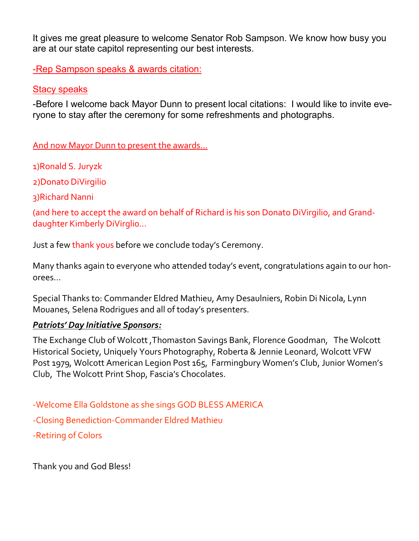It gives me great pleasure to welcome Senator Rob Sampson. We know how busy you are at our state capitol representing our best interests.

-Rep Sampson speaks & awards citation:

#### **Stacy speaks**

-Before I welcome back Mayor Dunn to present local citations: I would like to invite everyone to stay after the ceremony for some refreshments and photographs.

And now Mayor Dunn to present the awards…

1)Ronald S. Juryzk

2)Donato DiVirgilio

3)Richard Nanni

(and here to accept the award on behalf of Richard is his son Donato DiVirgilio, and Granddaughter Kimberly DiVirglio…

Just a few thank yous before we conclude today's Ceremony.

Many thanks again to everyone who attended today's event, congratulations again to our honorees…

Special Thanks to: Commander Eldred Mathieu, Amy Desaulniers, Robin Di Nicola, Lynn Mouanes, Selena Rodrigues and all of today's presenters.

#### *Patriots' Day Initiative Sponsors:*

The Exchange Club of Wolcott ,Thomaston Savings Bank, Florence Goodman, The Wolcott Historical Society, Uniquely Yours Photography, Roberta & Jennie Leonard, Wolcott VFW Post 1979, Wolcott American Legion Post 165, Farmingbury Women's Club, Junior Women's Club, The Wolcott Print Shop, Fascia's Chocolates.

-Welcome Ella Goldstone as she sings GOD BLESS AMERICA -Closing Benediction-Commander Eldred Mathieu -Retiring of Colors

Thank you and God Bless!